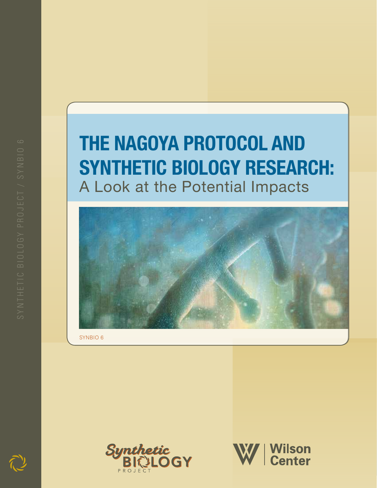# **THE NAGOYA PROTOCOL AND Synthetic Biology Research:** A Look at the Potential Impacts



SYNBIO 6



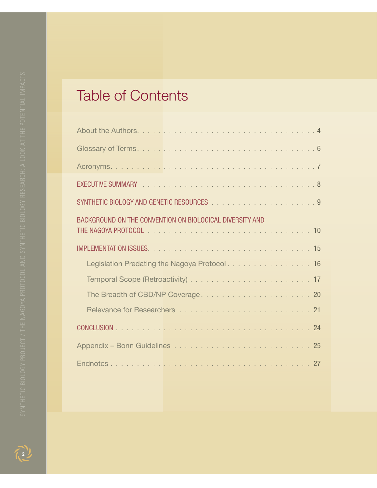# Table of Contents

| BACKGROUND ON THE CONVENTION ON BIOLOGICAL DIVERSITY AND |  |  |
|----------------------------------------------------------|--|--|
|                                                          |  |  |
|                                                          |  |  |
| Legislation Predating the Nagoya Protocol. 16            |  |  |
|                                                          |  |  |
|                                                          |  |  |
|                                                          |  |  |
|                                                          |  |  |
|                                                          |  |  |
|                                                          |  |  |
|                                                          |  |  |

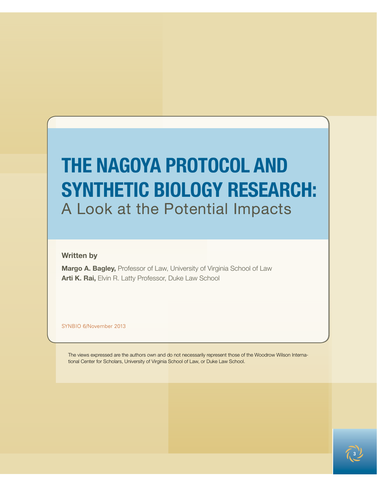# **THE NAGOYA PROTOCOL AND Synthetic Biology Research:** A Look at the Potential Impacts

**Written by**

**Margo A. Bagley,** Professor of Law, University of Virginia School of Law **Arti K. Rai,** Elvin R. Latty Professor, Duke Law School

SYNBIO 6/November 2013

The views expressed are the authors own and do not necessarily represent those of the Woodrow Wilson International Center for Scholars, University of Virginia School of Law, or Duke Law School.

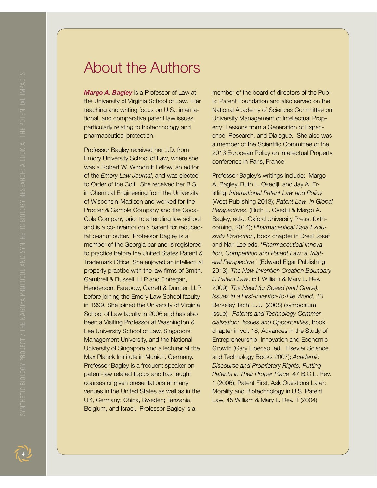# About the Authors

*Margo A. Bagley* is a Professor of Law at the University of Virginia School of Law. Her teaching and writing focus on U.S., international, and comparative patent law issues particularly relating to biotechnology and pharmaceutical protection.

Professor Bagley received her J.D. from Emory University School of Law, where she was a Robert W. Woodruff Fellow, an editor of the *Emory Law Journal*, and was elected to Order of the Coif. She received her B.S. in Chemical Engineering from the University of Wisconsin-Madison and worked for the Procter & Gamble Company and the Coca-Cola Company prior to attending law school and is a co-inventor on a patent for reducedfat peanut butter. Professor Bagley is a member of the Georgia bar and is registered to practice before the United States Patent & Trademark Office. She enjoyed an intellectual property practice with the law firms of Smith, Gambrell & Russell, LLP and Finnegan, Henderson, Farabow, Garrett & Dunner, LLP before joining the Emory Law School faculty in 1999. She joined the University of Virginia School of Law faculty in 2006 and has also been a Visiting Professor at Washington & Lee University School of Law, Singapore Management University, and the National University of Singapore and a lecturer at the Max Planck Institute in Munich, Germany. Professor Bagley is a frequent speaker on patent-law related topics and has taught courses or given presentations at many venues in the United States as well as in the UK, Germany; China, Sweden; Tanzania, Belgium, and Israel. Professor Bagley is a

member of the board of directors of the Public Patent Foundation and also served on the National Academy of Sciences Committee on University Management of Intellectual Property: Lessons from a Generation of Experience, Research, and Dialogue. She also was a member of the Scientific Committee of the 2013 European Policy on Intellectual Property conference in Paris, France.

Professor Bagley's writings include: Margo A. Bagley, Ruth L. Okediji, and Jay A. Erstling, *International Patent Law and Policy*  (West Publishing 2013); *Patent Law in Global Perspectives*, (Ruth L. Okediji & Margo A. Bagley, eds., Oxford University Press, forthcoming, 2014); *Pharmaceutical Data Exclusivity Protection*, book chapter in Drexl Josef and Nari Lee eds. '*Pharmaceutical Innovation, Competition and Patent Law: a Trilateral Perspective*,' (Edward Elgar Publishing, 2013); *The New Invention Creation Boundary in Patent Law*, (51 William & Mary L. Rev. 2009); *The Need for Speed (and Grace): Issues in a First-Inventor-To-File World*, 23 Berkeley Tech. L.J. (2008) (symposium issue); *Patents and Technology Commercialization: Issues and Opportunities*, book chapter in vol. 18, Advances in the Study of Entrepreneurship, Innovation and Economic Growth (Gary Libecap, ed., Elsevier Science and Technology Books 2007); *Academic Discourse and Proprietary Rights, Putting Patents in Their Proper Place*, 47 B.C.L. Rev. 1 (2006); Patent First, Ask Questions Later: Morality and Biotechnology in U.S. Patent Law, 45 William & Mary L. Rev. 1 (2004).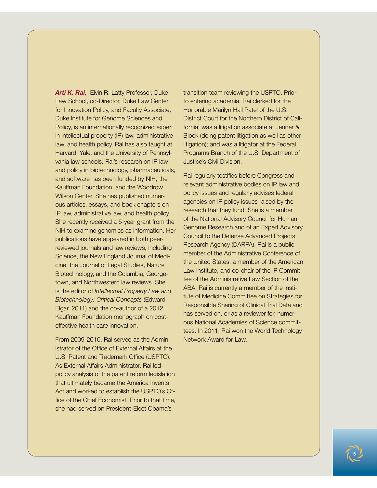*Arti K. Rai,* Elvin R. Latty Professor, Duke Law School, co-Director, Duke Law Center for Innovation Policy, and Faculty Associate, Duke Institute for Genome Sciences and Policy, is an internationally recognized expert in intellectual property (IP) law, administrative law, and health policy. Rai has also taught at Harvard, Yale, and the University of Pennsylvania law schools. Rai's research on IP law and policy in biotechnology, pharmaceuticals, and software has been funded by NIH, the Kauffman Foundation, and the Woodrow Wilson Center. She has published numerous articles, essays, and book chapters on IP law, administrative law, and health policy. She recently received a 5-year grant from the NIH to examine genomics as information. Her publications have appeared in both peerreviewed journals and law reviews, including Science, the New England Journal of Medicine, the Journal of Legal Studies, Nature Biotechnology, and the Columbia, Georgetown, and Northwestern law reviews. She is the editor of *Intellectual Property Law and Biotechnology: Critical Concepts* (Edward Elgar, 2011) and the co-author of a 2012 Kauffman Foundation monograph on costeffective health care innovation.

From 2009-2010, Rai served as the Administrator of the Office of External Affairs at the U.S. Patent and Trademark Office (USPTO). As External Affairs Administrator, Rai led policy analysis of the patent reform legislation that ultimately became the America Invents Act and worked to establish the USPTO's Office of the Chief Economist. Prior to that time, she had served on President-Elect Obama's

transition team reviewing the USPTO. Prior to entering academia, Rai clerked for the Honorable Marilyn Hall Patel of the U.S. District Court for the Northern District of California; was a litigation associate at Jenner & Block (doing patent litigation as well as other litigation); and was a litigator at the Federal Programs Branch of the U.S. Department of Justice's Civil Division.

Rai regularly testifies before Congress and relevant administrative bodies on IP law and policy issues and regularly advises federal agencies on IP policy issues raised by the research that they fund. She is a member of the National Advisory Council for Human Genome Research and of an Expert Advisory Council to the Defense Advanced Projects Research Agency (DARPA). Rai is a public member of the Administrative Conference of the United States, a member of the American Law Institute, and co-chair of the IP Committee of the Administrative Law Section of the ABA. Rai is currently a member of the Institute of Medicine Committee on Strategies for Responsible Sharing of Clinical Trial Data and has served on, or as a reviewer for, numerous National Academies of Science committees. In 2011, Rai won the World Technology Network Award for Law.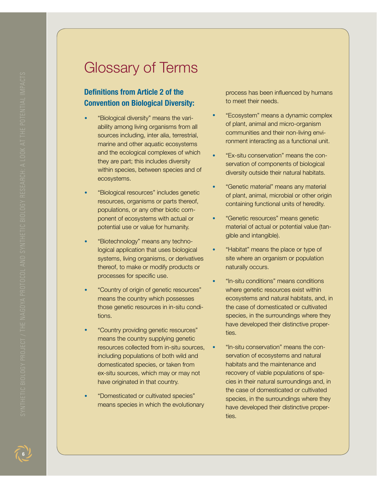# Glossary of Terms

### **Definitions from Article 2 of the Convention on Biological Diversity:**

- **•**  "Biological diversity" means the variability among living organisms from all sources including, inter alia, terrestrial, marine and other aquatic ecosystems and the ecological complexes of which they are part; this includes diversity within species, between species and of ecosystems.
- **•**  "Biological resources" includes genetic resources, organisms or parts thereof, populations, or any other biotic component of ecosystems with actual or potential use or value for humanity.
- *<u><sup>\*</sup>Biotechnology</u>* means any technological application that uses biological systems, living organisms, or derivatives thereof, to make or modify products or processes for specific use.
- **•**  "Country of origin of genetic resources" means the country which possesses those genetic resources in in-situ conditions.
- **•**  "Country providing genetic resources" means the country supplying genetic resources collected from in-situ sources, including populations of both wild and domesticated species, or taken from ex-situ sources, which may or may not have originated in that country.
- **•**  "Domesticated or cultivated species" means species in which the evolutionary

process has been influenced by humans to meet their needs.

- **•**  "Ecosystem" means a dynamic complex of plant, animal and micro-organism communities and their non-living environment interacting as a functional unit.
- **•**  "Ex-situ conservation" means the conservation of components of biological diversity outside their natural habitats.
- **•**  "Genetic material" means any material of plant, animal, microbial or other origin containing functional units of heredity.
- **•**  "Genetic resources" means genetic material of actual or potential value (tangible and intangible).
- **•**  "Habitat" means the place or type of site where an organism or population naturally occurs.
- **•**  "In-situ conditions" means conditions where genetic resources exist within ecosystems and natural habitats, and, in the case of domesticated or cultivated species, in the surroundings where they have developed their distinctive properties.
- **•**  "In-situ conservation" means the conservation of ecosystems and natural habitats and the maintenance and recovery of viable populations of species in their natural surroundings and, in the case of domesticated or cultivated species, in the surroundings where they have developed their distinctive properties.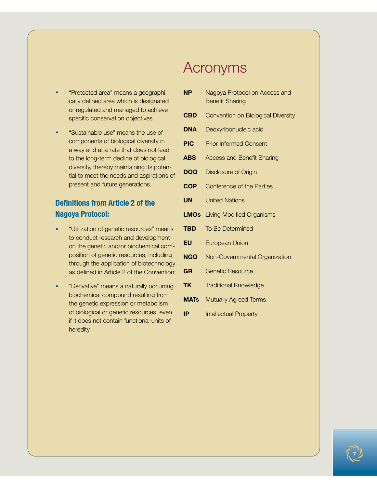- **•**  "Protected area" means a geographically defined area which is designated or regulated and managed to achieve specific conservation objectives.
- **•**  "Sustainable use" means the use of components of biological diversity in a way and at a rate that does not lead to the long-term decline of biological diversity, thereby maintaining its potential to meet the needs and aspirations of present and future generations.

### **Definitions from Article 2 of the Nagoya Protocol:**

- **•**  "Utilization of genetic resources" means to conduct research and development on the genetic and/or biochemical composition of genetic resources, including through the application of biotechnology as defined in Article 2 of the Convention;
- **•**  "Derivative" means a naturally occurring biochemical compound resulting from the genetic expression or metabolism of biological or genetic resources, even if it does not contain functional units of heredity.

# Acronyms

| <b>NP</b>   | Nagoya Protocol on Access and<br><b>Benefit Sharing</b> |
|-------------|---------------------------------------------------------|
| <b>CBD</b>  | Convention on Biological Diversity                      |
| <b>DNA</b>  | Deoxyribonucleic acid                                   |
| <b>PIC</b>  | <b>Prior Informed Consent</b>                           |
| <b>ABS</b>  | <b>Access and Benefit Sharing</b>                       |
| <b>DOO</b>  | <b>Disclosure of Origin</b>                             |
| <b>COP</b>  | Conference of the Parties                               |
| UN          | <b>United Nations</b>                                   |
| <b>LMOs</b> | <b>Living Modified Organisms</b>                        |
| <b>TBD</b>  | To Be Determined                                        |
| EU          | <b>European Union</b>                                   |
| <b>NGO</b>  | Non-Governmental Organization                           |
| <b>GR</b>   | <b>Genetic Resource</b>                                 |
| <b>TK</b>   | <b>Traditional Knowledge</b>                            |
| <b>MATs</b> | <b>Mutually Agreed Terms</b>                            |
| IP          | <b>Intellectual Property</b>                            |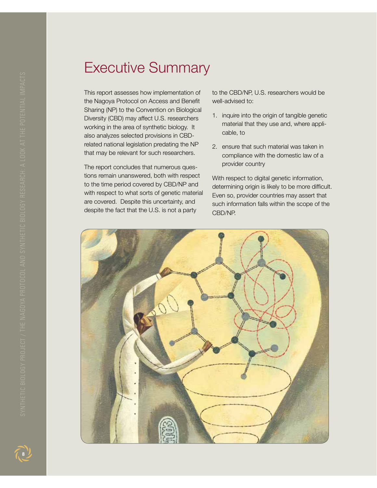# Executive Summary

This report assesses how implementation of the Nagoya Protocol on Access and Benefit Sharing (NP) to the Convention on Biological Diversity (CBD) may affect U.S. researchers working in the area of synthetic biology. It also analyzes selected provisions in CBDrelated national legislation predating the NP that may be relevant for such researchers.

The report concludes that numerous questions remain unanswered, both with respect to the time period covered by CBD/NP and with respect to what sorts of genetic material are covered. Despite this uncertainty, and despite the fact that the U.S. is not a party

to the CBD/NP, U.S. researchers would be well-advised to:

- 1. inquire into the origin of tangible genetic material that they use and, where applicable, to
- 2. ensure that such material was taken in compliance with the domestic law of a provider country

With respect to digital genetic information, determining origin is likely to be more difficult. Even so, provider countries may assert that such information falls within the scope of the CBD/NP.

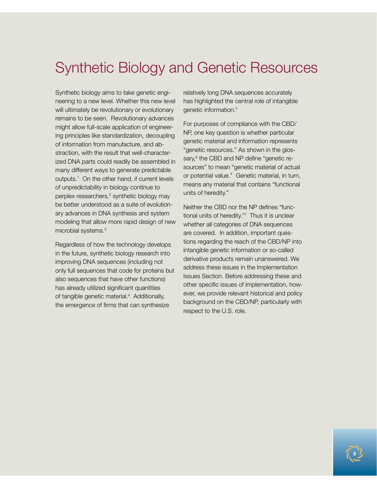# Synthetic Biology and Genetic Resources

Synthetic biology aims to take genetic engineering to a new level. Whether this new level will ultimately be revolutionary or evolutionary remains to be seen. Revolutionary advances might allow full-scale application of engineering principles like standardization, decoupling of information from manufacture, and abstraction, with the result that well-characterized DNA parts could readily be assembled in many different ways to generate predictable outputs.1 On the other hand, if current levels of unpredictability in biology continue to perplex researchers,<sup>2</sup> synthetic biology may be better understood as a suite of evolutionary advances in DNA synthesis and system modeling that allow more rapid design of new microbial systems.<sup>3</sup>

Regardless of how the technology develops in the future, synthetic biology research into improving DNA sequences (including not only full sequences that code for proteins but also sequences that have other functions) has already utilized significant quantities of tangible genetic material.4 Additionally, the emergence of firms that can synthesize

relatively long DNA sequences accurately has highlighted the central role of intangible genetic information.<sup>5</sup>

For purposes of compliance with the CBD/ NP, one key question is whether particular genetic material and information represents "genetic resources." As shown in the glossary,<sup>6</sup> the CBD and NP define "genetic resources" to mean "genetic material of actual or potential value." Genetic material, in turn, means any material that contains "functional units of heredity."

Neither the CBD nor the NP defines "functional units of heredity."7 Thus it is unclear whether all categories of DNA sequences are covered. In addition, important questions regarding the reach of the CBD/NP into intangible genetic information or so-called derivative products remain unanswered. We address these issues in the Implementation Issues Section. Before addressing these and other specific issues of implementation, however, we provide relevant historical and policy background on the CBD/NP, particularly with respect to the U.S. role.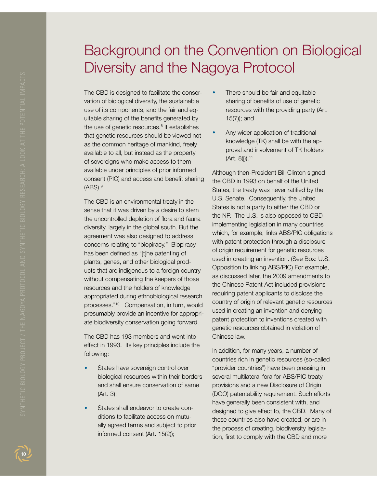# Background on the Convention on Biological Diversity and the Nagoya Protocol

The CBD is designed to facilitate the conservation of biological diversity, the sustainable use of its components, and the fair and equitable sharing of the benefits generated by the use of genetic resources.<sup>8</sup> It establishes that genetic resources should be viewed not as the common heritage of mankind, freely available to all, but instead as the property of sovereigns who make access to them available under principles of prior informed consent (PIC) and access and benefit sharing (ABS).9

The CBD is an environmental treaty in the sense that it was driven by a desire to stem the uncontrolled depletion of flora and fauna diversity, largely in the global south. But the agreement was also designed to address concerns relating to "biopiracy." Biopiracy has been defined as "[t]he patenting of plants, genes, and other biological products that are indigenous to a foreign country without compensating the keepers of those resources and the holders of knowledge appropriated during ethnobiological research processes."10 Compensation, in turn, would presumably provide an incentive for appropriate biodiversity conservation going forward.

The CBD has 193 members and went into effect in 1993. Its key principles include the following:

- States have sovereign control over biological resources within their borders and shall ensure conservation of same (Art. 3);
- **States shall endeavor to create con**ditions to facilitate access on mutually agreed terms and subject to prior informed consent (Art. 15(2));
- There should be fair and equitable sharing of benefits of use of genetic resources with the providing party (Art. 15(7)); and
- Any wider application of traditional knowledge (TK) shall be with the approval and involvement of TK holders  $(Art. 8(i)).<sup>11</sup>$

Although then-President Bill Clinton signed the CBD in 1993 on behalf of the United States, the treaty was never ratified by the U.S. Senate. Consequently, the United States is not a party to either the CBD or the NP. The U.S. is also opposed to CBDimplementing legislation in many countries which, for example, links ABS/PIC obligations with patent protection through a disclosure of origin requirement for genetic resources used in creating an invention. (See Box: U.S. Opposition to linking ABS/PIC) For example, as discussed later, the 2009 amendments to the Chinese Patent Act included provisions requiring patent applicants to disclose the country of origin of relevant genetic resources used in creating an invention and denying patent protection to inventions created with genetic resources obtained in violation of Chinese law.

In addition, for many years, a number of countries rich in genetic resources (so-called "provider countries") have been pressing in several multilateral fora for ABS/PIC treaty provisions and a new Disclosure of Origin (DOO) patentability requirement. Such efforts have generally been consistent with, and designed to give effect to, the CBD. Many of these countries also have created, or are in the process of creating, biodiversity legislation, first to comply with the CBD and more

 $\boxed{10}$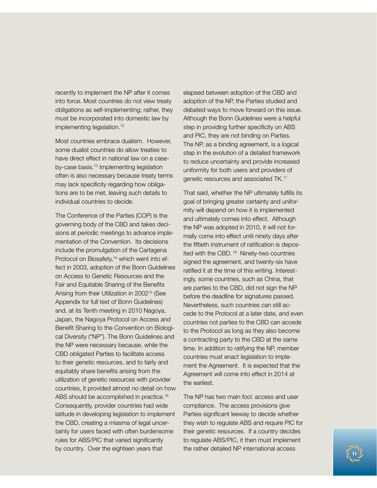recently to implement the NP after it comes into force. Most countries do not view treaty obligations as self-implementing; rather, they must be incorporated into domestic law by implementing legislation.<sup>12</sup>

Most countries embrace dualism. However, some dualist countries do allow treaties to have direct effect in national law on a caseby-case basis.13 Implementing legislation often is also necessary because treaty terms may lack specificity regarding how obligations are to be met, leaving such details to individual countries to decide.

The Conference of the Parties (COP) is the governing body of the CBD and takes decisions at periodic meetings to advance implementation of the Convention. Its decisions include the promulgation of the Cartagena Protocol on Biosafety,<sup>14</sup> which went into effect in 2003, adoption of the Bonn Guidelines on Access to Genetic Resources and the Fair and Equitable Sharing of the Benefits Arising from their Utilization in 200215 (See Appendix for full text of Bonn Guidelines) and, at its Tenth meeting in 2010 Nagoya, Japan, the Nagoya Protocol on Access and Benefit Sharing to the Convention on Biological Diversity ("NP"). The Bonn Guidelines and the NP were necessary because, while the CBD obligated Parties to facilitate access to their genetic resources, and to fairly and equitably share benefits arising from the utilization of genetic resources with provider countries, it provided almost no detail on how ABS should be accomplished in practice.<sup>16</sup> Consequently, provider countries had wide latitude in developing legislation to implement the CBD, creating a miasma of legal uncertainty for users faced with often burdensome rules for ABS/PIC that varied significantly by country. Over the eighteen years that

elapsed between adoption of the CBD and adoption of the NP, the Parties studied and debated ways to move forward on this issue. Although the Bonn Guidelines were a helpful step in providing further specificity on ABS and PIC, they are not binding on Parties. The NP, as a binding agreement, is a logical step in the evolution of a detailed framework to reduce uncertainty and provide increased uniformity for both users and providers of genetic resources and associated TK.17

That said, whether the NP ultimately fulfills its goal of bringing greater certainty and uniformity will depend on how it is implemented and ultimately comes into effect. Although the NP was adopted in 2010, it will not formally come into effect until ninety days after the fiftieth instrument of ratification is deposited with the CBD.<sup>18</sup> Ninety-two countries signed the agreement, and twenty-six have ratified it at the time of this writing. Interestingly, some countries, such as China, that are parties to the CBD, did not sign the NP before the deadline for signatures passed. Nevertheless, such countries can still accede to the Protocol at a later date, and even countries not parties to the CBD can accede to the Protocol as long as they also become a contracting party to the CBD at the same time. In addition to ratifying the NP, member countries must enact legislation to implement the Agreement. It is expected that the Agreement will come into effect in 2014 at the earliest.

The NP has two main foci: access and user compliance. The access provisions give Parties significant leeway to decide whether they wish to regulate ABS and require PIC for their genetic resources. If a country decides to regulate ABS/PIC, it then must implement the rather detailed NP international access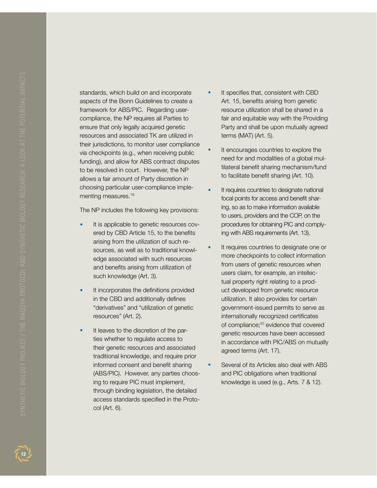standards, which build on and incorporate aspects of the Bonn Guidelines to create a framework for ABS/PIC. Regarding usercompliance, the NP requires all Parties to ensure that only legally acquired genetic resources and associated TK are utilized in their jurisdictions, to monitor user compliance via checkpoints (e.g., when receiving public funding), and allow for ABS contract disputes to be resolved in court. However, the NP allows a fair amount of Party discretion in choosing particular user-compliance implementing measures.<sup>19</sup>

The NP includes the following key provisions:

- It is applicable to genetic resources covered by CBD Article 15, to the benefits arising from the utilization of such resources, as well as to traditional knowledge associated with such resources and benefits arising from utilization of such knowledge (Art. 3).
- It incorporates the definitions provided in the CBD and additionally defines "derivatives" and "utilization of genetic resources" (Art. 2).
- It leaves to the discretion of the parties whether to regulate access to their genetic resources and associated traditional knowledge, and require prior informed consent and benefit sharing (ABS/PIC). However, any parties choosing to require PIC must implement, through binding legislation, the detailed access standards specified in the Protocol (Art. 6).
- It specifies that, consistent with CBD Art. 15, benefits arising from genetic resource utilization shall be shared in a fair and equitable way with the Providing Party and shall be upon mutually agreed terms (MAT) (Art. 5).
- It encourages countries to explore the need for and modalities of a global multilateral benefit sharing mechanism/fund to facilitate benefit sharing (Art. 10).
- It requires countries to designate national focal points for access and benefit sharing, so as to make information available to users, providers and the COP, on the procedures for obtaining PIC and complying with ABS requirements (Art. 13).
- It requires countries to designate one or more checkpoints to collect information from users of genetic resources when users claim, for example, an intellectual property right relating to a product developed from genetic resource utilization. It also provides for certain government-issued permits to serve as internationally recognized certificates of compliance;<sup>20</sup> evidence that covered genetic resources have been accessed in accordance with PIC/ABS on mutually agreed terms (Art. 17).
- Several of its Articles also deal with ABS and PIC obligations when traditional knowledge is used (e.g., Arts. 7 & 12).

 $12<sup>1</sup>$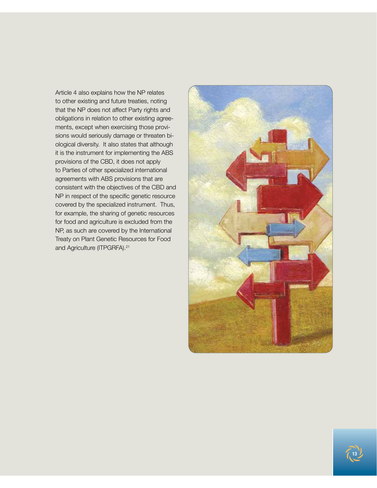Article 4 also explains how the NP relates to other existing and future treaties, noting that the NP does not affect Party rights and obligations in relation to other existing agreements, except when exercising those provisions would seriously damage or threaten biological diversity. It also states that although it is the instrument for implementing the ABS provisions of the CBD, it does not apply to Parties of other specialized international agreements with ABS provisions that are consistent with the objectives of the CBD and NP in respect of the specific genetic resource covered by the specialized instrument. Thus, for example, the sharing of genetic resources for food and agriculture is excluded from the NP, as such are covered by the International Treaty on Plant Genetic Resources for Food and Agriculture (ITPGRFA).<sup>21</sup>



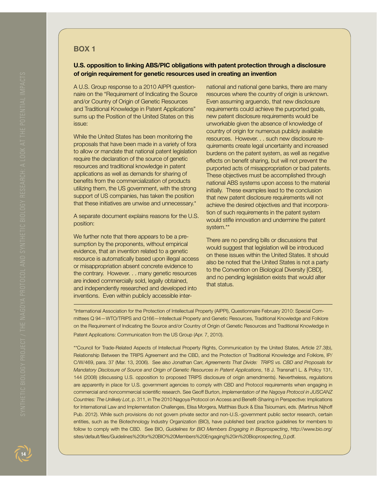### **Box 1**

### **U.S. opposition to linking ABS/PIC obligations with patent protection through a disclosure of origin requirement for genetic resources used in creating an invention**

A U.S. Group response to a 2010 AIPPI questionnaire on the "Requirement of Indicating the Source and/or Country of Origin of Genetic Resources and Traditional Knowledge in Patent Applications" sums up the Position of the United States on this issue:

While the United States has been monitoring the proposals that have been made in a variety of fora to allow or mandate that national patent legislation require the declaration of the source of genetic resources and traditional knowledge in patent applications as well as demands for sharing of benefits from the commercialization of products utilizing them, the US government, with the strong support of US companies, has taken the position that these initiatives are unwise and unnecessary.\*

A separate document explains reasons for the U.S. position:

We further note that there appears to be a presumption by the proponents, without empirical evidence, that an invention related to a genetic resource is automatically based upon illegal access or misappropriation absent concrete evidence to the contrary. However. . . many genetic resources are indeed commercially sold, legally obtained, and independently researched and developed into inventions. Even within publicly accessible international and national gene banks, there are many resources where the country of origin is unknown. Even assuming arguendo, that new disclosure requirements could achieve the purported goals, new patent disclosure requirements would be unworkable given the absence of knowledge of country of origin for numerous publicly available resources. However. . . such new disclosure requirements create legal uncertainty and increased burdens on the patent system, as well as negative effects on benefit sharing, but will not prevent the purported acts of misappropriation or bad patents. These objectives must be accomplished through national ABS systems upon access to the material initially. These examples lead to the conclusion that new patent disclosure requirements will not achieve the desired objectives and that incorporation of such requirements in the patent system would stifle innovation and undermine the patent system.\*\*

There are no pending bills or discussions that would suggest that legislation will be introduced on these issues within the United States. It should also be noted that the United States is not a party to the Convention on Biological Diversity [CBD], and no pending legislation exists that would alter that status.

\*International Association for the Protection of Intellectual Property (AIPPI), Questionnaire February 2010: Special Committees Q 94—WTO/TRIPS and Q166—Intellectual Property and Genetic Resources, Traditional Knowledge and Folklore on the Requirement of Indicating the Source and/or Country of Origin of Genetic Resources and Traditional Knowledge in Patent Applications: Communication from the US Group (Apr. 7, 2010).

\*\*Council for Trade-Related Aspects of Intellectual Property Rights, Communication by the United States, Article 27.3(b), Relationship Between the TRIPS Agreement and the CBD, and the Protection of Traditional Knowledge and Folklore, IP/ C/W/469, para. 37 (Mar. 13, 2006). See also Jonathan Carr, *Agreements That Divide: TRIPS vs. CBD and Proposals for Mandatory Disclosure of Source and Origin of Genetic Resources in Patent Applications*, 18 J. Transnat'l L. & Policy 131, 144 (2008) (discussing U.S. opposition to proposed TRIPS disclosure of origin amendments). Nevertheless, regulations are apparently in place for U.S. government agencies to comply with CBD and Protocol requirements when engaging in commercial and noncommercial scientific research. See Geoff Burton, *Implementation of the Nagoya Protocol in JUSCANZ Countries: The Unlikely Lot*, p. 311, in The 2010 Nagoya Protocol on Access and Benefit-Sharing in Perspective: Implications for International Law and Implementation Challenges, Elisa Morgera, Matthias Buck & Elsa Tsioumani, eds. (Martinus Nijhoff Pub. 2012). While such provisions do not govern private sector and non-U.S.-government public sector research, certain entities, such as the Biotechnology Industry Organization (BIO), have published best practice guidelines for members to follow to comply with the CBD. See BIO, *Guidelines for BIO Members Engaging in Bioprospecting*, http://www.bio.org/ sites/default/files/Guidelines%20for%20BIO%20Members%20Engaging%20in%20Bioprospecting\_0.pdf.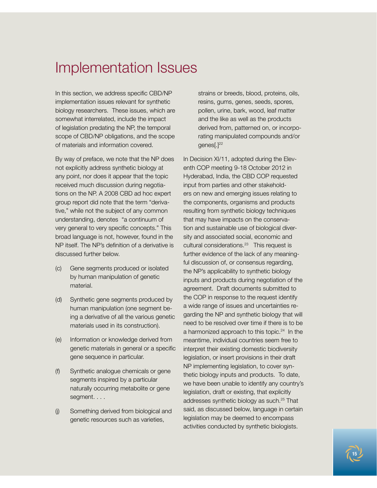# Implementation Issues

In this section, we address specific CBD/NP implementation issues relevant for synthetic biology researchers. These issues, which are somewhat interrelated, include the impact of legislation predating the NP, the temporal scope of CBD/NP obligations, and the scope of materials and information covered.

By way of preface, we note that the NP does not explicitly address synthetic biology at any point, nor does it appear that the topic received much discussion during negotiations on the NP. A 2008 CBD ad hoc expert group report did note that the term "derivative," while not the subject of any common understanding, denotes "a continuum of very general to very specific concepts." This broad language is not, however, found in the NP itself. The NP's definition of a derivative is discussed further below.

- (c) Gene segments produced or isolated by human manipulation of genetic material.
- (d) Synthetic gene segments produced by human manipulation (one segment being a derivative of all the various genetic materials used in its construction).
- (e) Information or knowledge derived from genetic materials in general or a specific gene sequence in particular.
- (f) Synthetic analogue chemicals or gene segments inspired by a particular naturally occurring metabolite or gene segment. . . .
- (j) Something derived from biological and genetic resources such as varieties,

strains or breeds, blood, proteins, oils, resins, gums, genes, seeds, spores, pollen, urine, bark, wood, leaf matter and the like as well as the products derived from, patterned on, or incorporating manipulated compounds and/or genes[.]<sup>22</sup>

In Decision XI/11, adopted during the Eleventh COP meeting 9-18 October 2012 in Hyderabad, India, the CBD COP requested input from parties and other stakeholders on new and emerging issues relating to the components, organisms and products resulting from synthetic biology techniques that may have impacts on the conservation and sustainable use of biological diversity and associated social, economic and cultural considerations.23 This request is further evidence of the lack of any meaningful discussion of, or consensus regarding, the NP's applicability to synthetic biology inputs and products during negotiation of the agreement. Draft documents submitted to the COP in response to the request identify a wide range of issues and uncertainties regarding the NP and synthetic biology that will need to be resolved over time if there is to be a harmonized approach to this topic. $24$  In the meantime, individual countries seem free to interpret their existing domestic biodiversity legislation, or insert provisions in their draft NP implementing legislation, to cover synthetic biology inputs and products. To date, we have been unable to identify any country's legislation, draft or existing, that explicitly addresses synthetic biology as such.25 That said, as discussed below, language in certain legislation may be deemed to encompass activities conducted by synthetic biologists.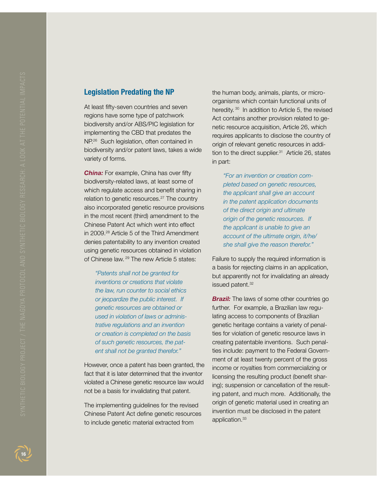### **Legislation Predating the NP**

At least fifty-seven countries and seven regions have some type of patchwork biodiversity and/or ABS/PIC legislation for implementing the CBD that predates the NP.<sup>26</sup> Such legislation, often contained in biodiversity and/or patent laws, takes a wide variety of forms.

**China:** For example, China has over fifty biodiversity-related laws, at least some of which regulate access and benefit sharing in relation to genetic resources.<sup>27</sup> The country also incorporated genetic resource provisions in the most recent (third) amendment to the Chinese Patent Act which went into effect in 2009.28 Article 5 of the Third Amendment denies patentability to any invention created using genetic resources obtained in violation of Chinese law. 29 The new Article 5 states:

*"Patents shall not be granted for inventions or creations that violate the law, run counter to social ethics or jeopardize the public interest. If genetic resources are obtained or used in violation of laws or adminis trative regulations and an invention or creation is completed on the basis of such genetic resources, the pat ent shall not be granted therefor."*

However, once a patent has been granted, the fact that it is later determined that the inventor violated a Chinese genetic resource law would not be a basis for invalidating that patent.

The implementing guidelines for the revised Chinese Patent Act define genetic resources to include genetic material extracted from

the human body, animals, plants, or micro organisms which contain functional units of heredity. 30 In addition to Article 5, the revised Act contains another provision related to ge netic resource acquisition, Article 26, which requires applicants to disclose the country of origin of relevant genetic resources in addi tion to the direct supplier. $31$  Article 26, states in part:

*"For an invention or creation com pleted based on genetic resources, the applicant shall give an account in the patent application documents of the direct origin and ultimate origin of the genetic resources. If the applicant is unable to give an account of the ultimate origin, it/he/ she shall give the reason therefor."*

Failure to supply the required information is a basis for rejecting claims in an application, but apparently not for invalidating an already issued patent.<sup>32</sup>

**Brazil:** The laws of some other countries go further. For example, a Brazilian law regu lating access to components of Brazilian genetic heritage contains a variety of penal ties for violation of genetic resource laws in creating patentable inventions. Such penal ties include: payment to the Federal Govern ment of at least twenty percent of the gross income or royalties from commercializing or licensing the resulting product (benefit shar ing); suspension or cancellation of the result ing patent, and much more. Additionally, the origin of genetic material used in creating an invention must be disclosed in the patent application.<sup>33</sup>

 $\boxed{16}$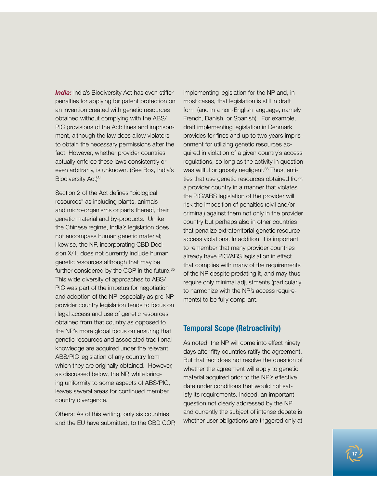**India:** India's Biodiversity Act has even stiffer penalties for applying for patent protection on an invention created with genetic resources obtained without complying with the ABS/ PIC provisions of the Act: fines and imprisonment, although the law does allow violators to obtain the necessary permissions after the fact. However, whether provider countries actually enforce these laws consistently or even arbitrarily, is unknown. (See Box, India's Biodiversity Act)<sup>34</sup>

Section 2 of the Act defines "biological resources" as including plants, animals and micro-organisms or parts thereof, their genetic material and by-products. Unlike the Chinese regime, India's legislation does not encompass human genetic material; likewise, the NP, incorporating CBD Decision X/1, does not currently include human genetic resources although that may be further considered by the COP in the future.<sup>35</sup> This wide diversity of approaches to ABS/ PIC was part of the impetus for negotiation and adoption of the NP, especially as pre-NP provider country legislation tends to focus on illegal access and use of genetic resources obtained from that country as opposed to the NP's more global focus on ensuring that genetic resources and associated traditional knowledge are acquired under the relevant ABS/PIC legislation of any country from which they are originally obtained. However, as discussed below, the NP, while bringing uniformity to some aspects of ABS/PIC, leaves several areas for continued member country divergence.

Others: As of this writing, only six countries and the EU have submitted, to the CBD COP, implementing legislation for the NP and, in most cases, that legislation is still in draft form (and in a non-English language, namely French, Danish, or Spanish). For example, draft implementing legislation in Denmark provides for fines and up to two years imprisonment for utilizing genetic resources acquired in violation of a given country's access regulations, so long as the activity in question was willful or grossly negligent.<sup>36</sup> Thus, entities that use genetic resources obtained from a provider country in a manner that violates the PIC/ABS legislation of the provider will risk the imposition of penalties (civil and/or criminal) against them not only in the provider country but perhaps also in other countries that penalize extraterritorial genetic resource access violations. In addition, it is important to remember that many provider countries already have PIC/ABS legislation in effect that complies with many of the requirements of the NP despite predating it, and may thus require only minimal adjustments (particularly to harmonize with the NP's access requirements) to be fully compliant.

### **Temporal Scope (Retroactivity)**

As noted, the NP will come into effect ninety days after fifty countries ratify the agreement. But that fact does not resolve the question of whether the agreement will apply to genetic material acquired prior to the NP's effective date under conditions that would not satisfy its requirements. Indeed, an important question not clearly addressed by the NP and currently the subject of intense debate is whether user obligations are triggered only at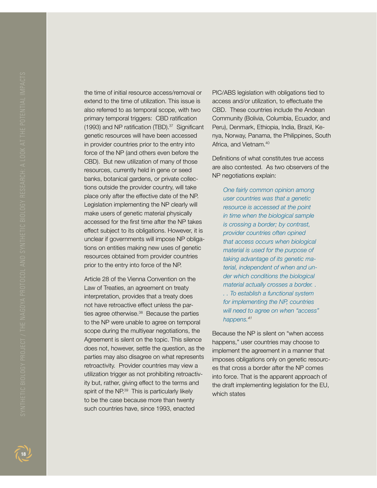the time of initial resource access/removal or extend to the time of utilization. This issue is also referred to as temporal scope, with two primary temporal triggers: CBD ratification (1993) and NP ratification (TBD).<sup>37</sup> Significant genetic resources will have been accessed in provider countries prior to the entry into force of the NP (and others even before the CBD). But new utilization of many of those resources, currently held in gene or seed banks, botanical gardens, or private collections outside the provider country, will take place only after the effective date of the NP. Legislation implementing the NP clearly will make users of genetic material physically accessed for the first time after the NP takes effect subject to its obligations. However, it is unclear if governments will impose NP obligations on entities making new uses of genetic resources obtained from provider countries prior to the entry into force of the NP.

Article 28 of the Vienna Convention on the Law of Treaties, an agreement on treaty interpretation, provides that a treaty does not have retroactive effect unless the parties agree otherwise.<sup>38</sup> Because the parties to the NP were unable to agree on temporal scope during the multiyear negotiations, the Agreement is silent on the topic. This silence does not, however, settle the question, as the parties may also disagree on what represents retroactivity. Provider countries may view a utilization trigger as not prohibiting retroactivity but, rather, giving effect to the terms and spirit of the NP.<sup>39</sup> This is particularly likely to be the case because more than twenty such countries have, since 1993, enacted

PIC/ABS legislation with obligations tied to access and/or utilization, to effectuate the CBD. These countries include the Andean Community (Bolivia, Columbia, Ecuador, and Peru), Denmark, Ethiopia, India, Brazil, Kenya, Norway, Panama, the Philippines, South Africa, and Vietnam.<sup>40</sup>

Definitions of what constitutes true access are also contested. As two observers of the NP negotiations explain:

*One fairly common opinion among user countries was that a genetic resource is accessed at the point in time when the biological sample is crossing a border; by contrast, provider countries often opined that access occurs when biological material is used for the purpose of taking advantage of its genetic material, independent of when and under which conditions the biological material actually crosses a border. . . . To establish a functional system for implementing the NP, countries will need to agree on when "access" happens.41*

Because the NP is silent on "when access happens," user countries may choose to implement the agreement in a manner that imposes obligations only on genetic resources that cross a border after the NP comes into force. That is the apparent approach of the draft implementing legislation for the EU, which states

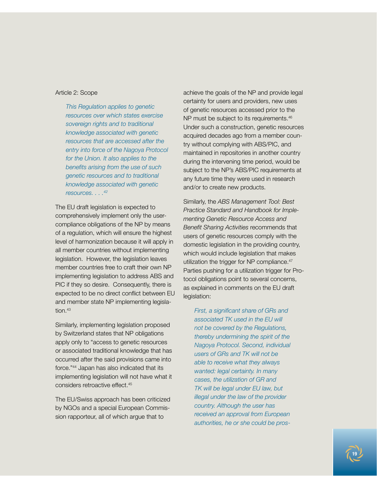### Article 2: Scope

*This Regulation applies to genetic resources over which states exercise sovereign rights and to traditional knowledge associated with genetic resources that are accessed after the entry into force of the Nagoya Protocol for the Union. It also applies to the benefits arising from the use of such genetic resources and to traditional knowledge associated with genetic resources. . . .42*

The EU draft legislation is expected to comprehensively implement only the usercompliance obligations of the NP by means of a regulation, which will ensure the highest level of harmonization because it will apply in all member countries without implementing legislation. However, the legislation leaves member countries free to craft their own NP implementing legislation to address ABS and PIC if they so desire. Consequently, there is expected to be no direct conflict between EU and member state NP implementing legisla $t$ <sub>i</sub>on. $43$ 

Similarly, implementing legislation proposed by Switzerland states that NP obligations apply only to "access to genetic resources or associated traditional knowledge that has occurred after the said provisions came into force."44 Japan has also indicated that its implementing legislation will not have what it considers retroactive effect.45

The EU/Swiss approach has been criticized by NGOs and a special European Commission rapporteur, all of which argue that to

achieve the goals of the NP and provide legal certainty for users and providers, new uses of genetic resources accessed prior to the NP must be subject to its requirements.<sup>46</sup> Under such a construction, genetic resources acquired decades ago from a member country without complying with ABS/PIC, and maintained in repositories in another country during the intervening time period, would be subject to the NP's ABS/PIC requirements at any future time they were used in research and/or to create new products.

Similarly, the *ABS Management Tool: Best Practice Standard and Handbook for Implementing Genetic Resource Access and Benefit Sharing Activities* recommends that users of genetic resources comply with the domestic legislation in the providing country, which would include legislation that makes utilization the trigger for NP compliance.<sup>47</sup> Parties pushing for a utilization trigger for Protocol obligations point to several concerns, as explained in comments on the EU draft legislation:

*First, a significant share of GRs and associated TK used in the EU will not be covered by the Regulations, thereby undermining the spirit of the Nagoya Protocol. Second, individual users of GRs and TK will not be able to receive what they always wanted: legal certainty. In many cases, the utilization of GR and TK will be legal under EU law, but illegal under the law of the provider country. Although the user has received an approval from European authorities, he or she could be pros-*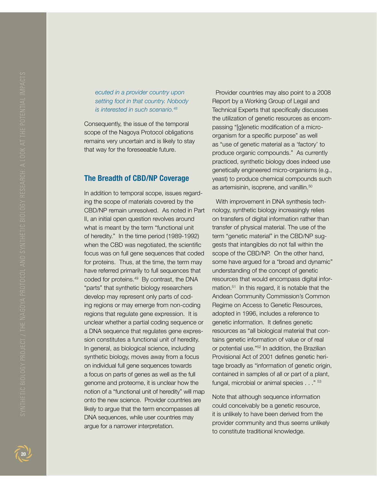# **20Synthetic Biology Project / The Synthesis Biology Project / The**

*ecuted in a provider country upon setting foot in that country. Nobody is interested in such scenario.48*

Consequently, the issue of the temporal scope of the Nagoya Protocol obligations remains very uncertain and is likely to stay that way for the foreseeable future.

### **The Breadth of CBD/NP Coverage**

In addition to temporal scope, issues regarding the scope of materials covered by the CBD/NP remain unresolved. As noted in Part II, an initial open question revolves around what is meant by the term "functional unit of heredity." In the time period (1989-1992) when the CBD was negotiated, the scientific focus was on full gene sequences that coded for proteins. Thus, at the time, the term may have referred primarily to full sequences that coded for proteins.49 By contrast, the DNA "parts" that synthetic biology researchers develop may represent only parts of coding regions or may emerge from non-coding regions that regulate gene expression. It is unclear whether a partial coding sequence or a DNA sequence that regulates gene expression constitutes a functional unit of heredity. In general, as biological science, including synthetic biology, moves away from a focus on individual full gene sequences towards a focus on parts of genes as well as the full genome and proteome, it is unclear how the notion of a "functional unit of heredity" will map onto the new science. Provider countries are likely to argue that the term encompasses all DNA sequences, while user countries may argue for a narrower interpretation.

 Provider countries may also point to a 2008 Report by a Working Group of Legal and Technical Experts that specifically discusses the utilization of genetic resources as encompassing "[g]enetic modification of a microorganism for a specific purpose" as well as "use of genetic material as a 'factory' to produce organic compounds." As currently practiced, synthetic biology does indeed use genetically engineered micro-organisms (e.g., yeast) to produce chemical compounds such as artemisinin, isoprene, and vanillin.<sup>50</sup>

 With improvement in DNA synthesis technology, synthetic biology increasingly relies on transfers of digital information rather than transfer of physical material. The use of the term "genetic material" in the CBD/NP suggests that intangibles do not fall within the scope of the CBD/NP. On the other hand, some have argued for a "broad and dynamic" understanding of the concept of genetic resources that would encompass digital information.<sup>51</sup> In this regard, it is notable that the Andean Community Commission's Common Regime on Access to Genetic Resources, adopted in 1996, includes a reference to genetic information. It defines genetic resources as "all biological material that contains genetic information of value or of real or potential use."52 In addition, the Brazilian Provisional Act of 2001 defines genetic heritage broadly as "information of genetic origin, contained in samples of all or part of a plant, fungal, microbial or animal species . . ." 53

Note that although sequence information could conceivably be a genetic resource, it is unlikely to have been derived from the provider community and thus seems unlikely to constitute traditional knowledge.

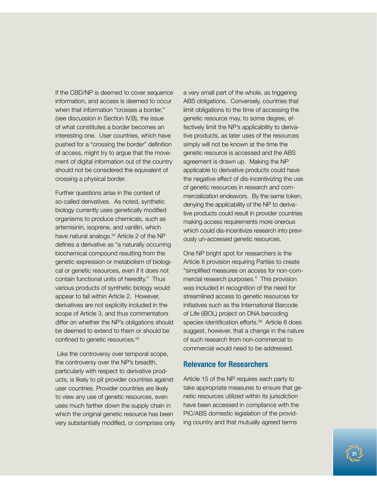If the CBD/NP is deemed to cover sequence information, and access is deemed to occur when that information "crosses a border." (see discussion in Section IV.B), the issue of what constitutes a border becomes an interesting one. User countries, which have pushed for a "crossing the border" definition of access, might try to argue that the movement of digital information out of the country should not be considered the equivalent of crossing a physical border.

Further questions arise in the context of so-called derivatives. As noted, synthetic biology currently uses genetically modified organisms to produce chemicals, such as artemisinin, isoprene, and vanillin, which have natural analogs.<sup>54</sup> Article 2 of the NP defines a derivative as "a naturally occurring biochemical compound resulting from the genetic expression or metabolism of biological or genetic resources, even if it does not contain functional units of heredity." Thus various products of synthetic biology would appear to fall within Article 2. However, derivatives are not explicitly included in the scope of Article 3, and thus commentators differ on whether the NP's obligations should be deemed to extend to them or should be confined to genetic resources.<sup>55</sup>

 Like the controversy over temporal scope, the controversy over the NP's breadth, particularly with respect to derivative products, is likely to pit provider countries against user countries. Provider countries are likely to view any use of genetic resources, even uses much farther down the supply chain in which the original genetic resource has been very substantially modified, or comprises only a very small part of the whole, as triggering ABS obligations. Conversely, countries that limit obligations to the time of accessing the genetic resource may, to some degree, effectively limit the NP's applicability to derivative products, as later uses of the resources simply will not be known at the time the genetic resource is accessed and the ABS agreement is drawn up. Making the NP applicable to derivative products could have the negative effect of dis-incentivizing the use of genetic resources in research and commercialization endeavors. By the same token, denying the applicability of the NP to derivative products could result in provider countries making access requirements more onerous which could dis-incentivize research into previously un-accessed genetic resources.

One NP bright spot for researchers is the Article 8 provision requiring Parties to create "simplified measures on access for non-commercial research purposes." This provision was included in recognition of the need for streamlined access to genetic resources for initiatives such as the International Barcode of Life (iBOL) project on DNA barcoding species identification efforts.<sup>56</sup> Article 8 does suggest, however, that a change in the nature of such research from non-commercial to commercial would need to be addressed.

### **Relevance for Researchers**

Article 15 of the NP requires each party to take appropriate measures to ensure that genetic resources utilized within its jurisdiction have been accessed in compliance with the PIC/ABS domestic legislation of the providing country and that mutually agreed terms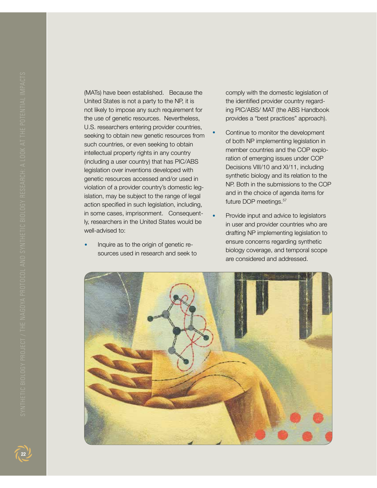(MATs) have been established. Because the United States is not a party to the NP, it is not likely to impose any such requirement for the use of genetic resources. Nevertheless, U.S. researchers entering provider countries, seeking to obtain new genetic resources from such countries, or even seeking to obtain intellectual property rights in any country (including a user country) that has PIC/ABS legislation over inventions developed with genetic resources accessed and/or used in violation of a provider country's domestic legislation, may be subject to the range of legal action specified in such legislation, including, in some cases, imprisonment. Consequently, researchers in the United States would be well-advised to:

**•**  Inquire as to the origin of genetic resources used in research and seek to comply with the domestic legislation of the identified provider country regarding PIC/ABS/ MAT (the ABS Handbook provides a "best practices" approach).

- Continue to monitor the development of both NP implementing legislation in member countries and the COP exploration of emerging issues under COP Decisions VIII/10 and XI/11, including synthetic biology and its relation to the NP. Both in the submissions to the COP and in the choice of agenda items for future DOP meetings.<sup>57</sup>
- **Provide input and advice to legislators** in user and provider countries who are drafting NP implementing legislation to ensure concerns regarding synthetic biology coverage, and temporal scope are considered and addressed.



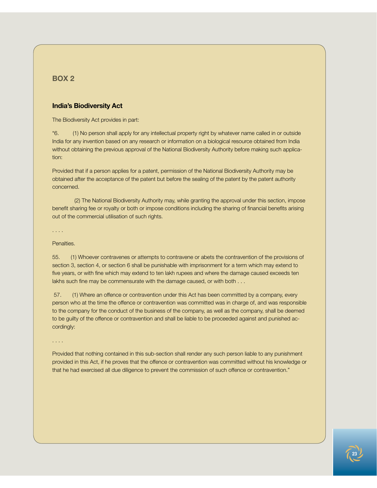### **Box 2**

### **India's Biodiversity Act**

The Biodiversity Act provides in part:

"6. (1) No person shall apply for any intellectual property right by whatever name called in or outside India for any invention based on any research or information on a biological resource obtained from India without obtaining the previous approval of the National Biodiversity Authority before making such application:

Provided that if a person applies for a patent, permission of the National Biodiversity Authority may be obtained after the acceptance of the patent but before the sealing of the patent by the patent authority concerned.

(2) The National Biodiversity Authority may, while granting the approval under this section, impose benefit sharing fee or royalty or both or impose conditions including the sharing of financial benefits arising out of the commercial utilisation of such rights.

. . . .

### Penalties.

55. (1) Whoever contravenes or attempts to contravene or abets the contravention of the provisions of section 3, section 4, or section 6 shall be punishable with imprisonment for a term which may extend to five years, or with fine which may extend to ten lakh rupees and where the damage caused exceeds ten lakhs such fine may be commensurate with the damage caused, or with both . . .

 57. (1) Where an offence or contravention under this Act has been committed by a company, every person who at the time the offence or contravention was committed was in charge of, and was responsible to the company for the conduct of the business of the company, as well as the company, shall be deemed to be guilty of the offence or contravention and shall be liable to be proceeded against and punished accordingly:

. . . .

Provided that nothing contained in this sub-section shall render any such person liable to any punishment provided in this Act, if he proves that the offence or contravention was committed without his knowledge or that he had exercised all due diligence to prevent the commission of such offence or contravention."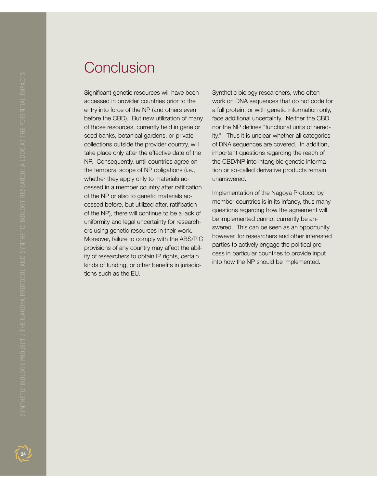Significant genetic resources will have been accessed in provider countries prior to the entry into force of the NP (and others even before the CBD). But new utilization of many of those resources, currently held in gene or seed banks, botanical gardens, or private collections outside the provider country, will take place only after the effective date of the NP. Consequently, until countries agree on the temporal scope of NP obligations (i.e., whether they apply only to materials accessed in a member country after ratification of the NP or also to genetic materials accessed before, but utilized after, ratification of the NP), there will continue to be a lack of uniformity and legal uncertainty for researchers using genetic resources in their work. Moreover, failure to comply with the ABS/PIC provisions of any country may affect the ability of researchers to obtain IP rights, certain kinds of funding, or other benefits in jurisdictions such as the EU.

Synthetic biology researchers, who often work on DNA sequences that do not code for a full protein, or with genetic information only, face additional uncertainty. Neither the CBD nor the NP defines "functional units of heredity." Thus it is unclear whether all categories of DNA sequences are covered. In addition, important questions regarding the reach of the CBD/NP into intangible genetic information or so-called derivative products remain unanswered.

Implementation of the Nagoya Protocol by member countries is in its infancy, thus many questions regarding how the agreement will be implemented cannot currently be answered. This can be seen as an opportunity however, for researchers and other interested parties to actively engage the political process in particular countries to provide input into how the NP should be implemented.

 $24$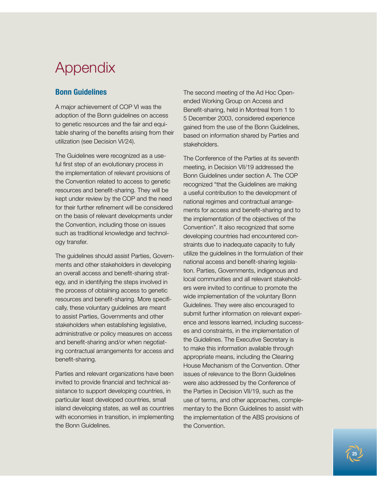# Appendix

### **Bonn Guidelines**

A major achievement of COP VI was the adoption of the Bonn guidelines on access to genetic resources and the fair and equitable sharing of the benefits arising from their utilization (see Decision VI/24).

The Guidelines were recognized as a useful first step of an evolutionary process in the implementation of relevant provisions of the Convention related to access to genetic resources and benefit-sharing. They will be kept under review by the COP and the need for their further refinement will be considered on the basis of relevant developments under the Convention, including those on issues such as traditional knowledge and technology transfer.

The guidelines should assist Parties, Governments and other stakeholders in developing an overall access and benefit-sharing strategy, and in identifying the steps involved in the process of obtaining access to genetic resources and benefit-sharing. More specifically, these voluntary guidelines are meant to assist Parties, Governments and other stakeholders when establishing legislative, administrative or policy measures on access and benefit-sharing and/or when negotiating contractual arrangements for access and benefit-sharing.

Parties and relevant organizations have been invited to provide financial and technical assistance to support developing countries, in particular least developed countries, small island developing states, as well as countries with economies in transition, in implementing the Bonn Guidelines.

The second meeting of the Ad Hoc Openended Working Group on Access and Benefit-sharing, held in Montreal from 1 to 5 December 2003, considered experience gained from the use of the Bonn Guidelines, based on information shared by Parties and stakeholders.

The Conference of the Parties at its seventh meeting, in Decision VII/19 addressed the Bonn Guidelines under section A. The COP recognized "that the Guidelines are making a useful contribution to the development of national regimes and contractual arrangements for access and benefit-sharing and to the implementation of the objectives of the Convention". It also recognized that some developing countries had encountered constraints due to inadequate capacity to fully utilize the guidelines in the formulation of their national access and benefit-sharing legislation. Parties, Governments, indigenous and local communities and all relevant stakeholders were invited to continue to promote the wide implementation of the voluntary Bonn Guidelines. They were also encouraged to submit further information on relevant experience and lessons learned, including successes and constraints, in the implementation of the Guidelines. The Executive Secretary is to make this information available through appropriate means, including the Clearing House Mechanism of the Convention. Other issues of relevance to the Bonn Guidelines were also addressed by the Conference of the Parties in Decision VII/19, such as the use of terms, and other approaches, complementary to the Bonn Guidelines to assist with the implementation of the ABS provisions of the Convention.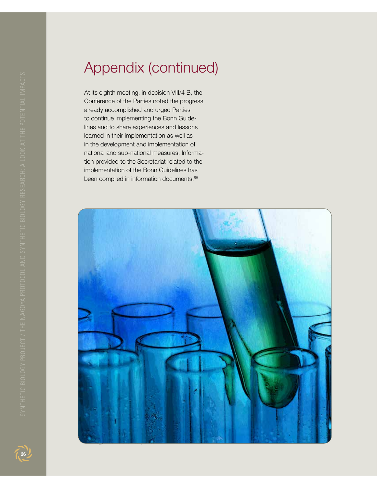# Appendix (continued)

At its eighth meeting, in decision VIII/4 B, the Conference of the Parties noted the progress already accomplished and urged Parties to continue implementing the Bonn Guidelines and to share experiences and lessons learned in their implementation as well as in the development and implementation of national and sub-national measures. Information provided to the Secretariat related to the implementation of the Bonn Guidelines has been compiled in information documents.58



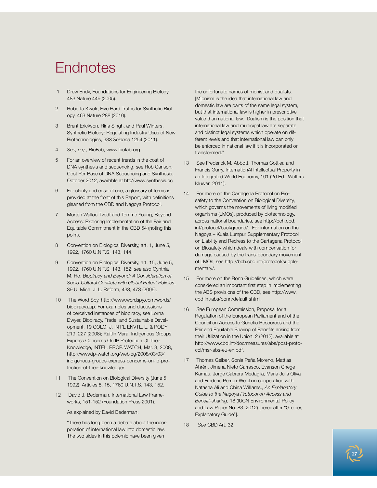# **Endnotes**

- 1 Drew Endy, Foundations for Engineering Biology, 483 Nature 449 (2005).
- 2 Roberta Kwok, Five Hard Truths for Synthetic Biology, 463 Nature 288 (2010).
- 3 Brent Erickson, Rina Singh, and Paul Winters, Synthetic Biology: Regulating Industry Uses of New Biotechnologies, 333 *Science* 1254 (2011).
- 4 *See, e.g.,* BioFab, www.biofab.org
- 5 For an overview of recent trends in the cost of DNA synthesis and sequencing, see Rob Carlson, Cost Per Base of DNA Sequencing and Synthesis, October 2012, available at htt://www.synthesis.cc
- 6 For clarity and ease of use, a glossary of terms is provided at the front of this Report, with definitions gleaned from the CBD and Nagoya Protocol.
- 7 Morten Walloe Tvedt and Tomme Young, Beyond Access: Exploring Implementation of the Fair and Equitable Commitment in the CBD 54 (noting this point).
- 8 Convention on Biological Diversity, art. 1, June 5, 1992, 1760 U.N.T.S. 143, 144.
- 9 Convention on Biological Diversity, art. 15, June 5, 1992, 1760 U.N.T.S. 143, 152; *see also* Cynthia M. Ho, *Biopiracy and Beyond: A Consideration of Socio-Cultural Conflicts with Global Patent Policies*, 39 U. Mich. J. L. Reform, 433, 473 (2006).
- 10 The Word Spy, http://www.wordspy.com/words/ biopiracy.asp. For examples and discussions of perceived instances of biopiracy, see Lorna Dwyer, Biopiracy, Trade, and Sustainable Development, 19 COLO. J. INT'L ENVTL. L. & POL'Y 219, 227 (2008); Kaitlin Mara, Indigenous Groups Express Concerns On IP Protection Of Their Knowledge, INTEL. PROP. WATCH, Mar. 3, 2008, http://www.ip-watch.org/weblog/2008/03/03/ indigenous-groups-express-concerns-on-ip-protection-of-their-knowledge/.
- 11 The Convention on Biological Diversity (June 5, 1992), Articles 8, 15, 1760 U.N.T.S. 143, 152.
- 12 David J. Bederman, International Law Frameworks, 151-152 (Foundation Press 2001).

As explained by David Bederman:

"There has long been a debate about the incorporation of international law into domestic law. The two sides in this polemic have been given

the unfortunate names of monist and dualists. [M]onism is the idea that international law and domestic law are parts of the same legal system, but that international law is higher in prescriptive value than national law. Dualism is the position that international law and municipal law are separate and distinct legal systems which operate on different levels and that international law can only be enforced in national law if it is incorporated or transformed."

- 13 See Frederick M. Abbott, Thomas Cottier, and Francis Gurry, InternationAl Intellectual Property in an Integrated World Economy, 101 (2d Ed., Wolters Kluwer 2011).
- 14 For more on the Cartagena Protocol on Biosafety to the Convention on Biological Diversity, which governs the movements of living modified organisms (LMOs), produced by biotechnology, across national boundaries, see http://bch.cbd. int/protocol/background/. For information on the Nagoya – Kuala Lumpur Supplementary Protocol on Liability and Redress to the Cartagena Protocol on Biosafety which deals with compensation for damage caused by the trans-boundary movement of LMOs, see http://bch.cbd.int/protocol/supplementary/.
- 15 For more on the Bonn Guidelines, which were considered an important first step in implementing the ABS provisions of the CBD, see http://www. cbd.int/abs/bonn/default.shtml.
- 16 *See* European Commission, Proposal for a Regulation of the European Parliament and of the Council on Access to Genetic Resources and the Fair and Equitable Sharing of Benefits arising from their Utilization in the Union, 2 (2012), available at http://www.cbd.int/doc/measures/abs/post-protocol/msr-abs-eu-en.pdf.
- 17 Thomas Geiber, Sonia Peña Moreno, Mattias Åhrén, Jimena Nieto Carrasco, Evanson Chege Kamau, Jorge Cabrera Medaglia, Maria Julia Oliva and Frederic Perron-Welch in cooperation with Natasha Ali and China Williams., *An Explanatory Guide to the Nagoya Protocol on Access and Benefit-sharing*, 18 (IUCN Environmental Policy and Law Paper No. 83, 2012) [hereinafter "Greiber, Explanatory Guide"].
- 18 *See* CBD Art. 32.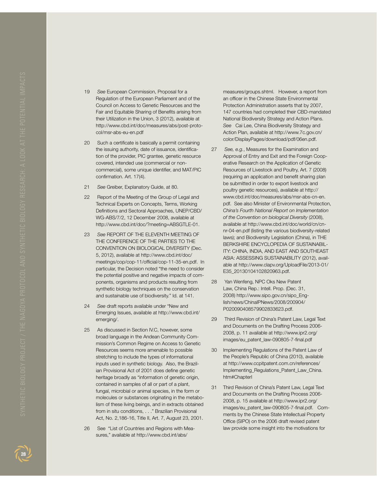- 19 *See* European Commission, Proposal for a Regulation of the European Parliament and of the Council on Access to Genetic Resources and the Fair and Equitable Sharing of Benefits arising from their Utilization in the Union, 3 (2012), available at http://www.cbd.int/doc/measures/abs/post-proto col/msr-abs-eu-en.pdf
- 20 Such a certificate is basically a permit containing the issuing authority, date of issuance, identifica tion of the provider, PIC grantee, genetic resource covered, intended use (commercial or noncommercial), some unique identifier, and MAT/PIC confirmation. Art. 17(4).
- 21 *See* Greiber, Explanatory Guide, at 80.
- 22 Report of the Meeting of the Group of Legal and Technical Experts on Concepts, Terms, Working Definitions and Sectoral Approaches, UNEP/CBD/ WG-ABS/7/2, 12 December 2008, available at http://www.cbd.int/doc/?meeting=ABSGTLE-01.
- 23 *See* REPORT OF THE ELEVENTH MEETING OF THE CONFERENCE OF THE PARTIES TO THE CONVENTION ON BIOLOGICAL DIVERSITY (Dec. 5, 2012), available at http://www.cbd.int/doc/ meetings/cop/cop-11/official/cop-11-35-en.pdf. In particular, the Decision noted "the need to consider the potential positive and negative impacts of com ponents, organisms and products resulting from synthetic biology techniques on the conservation and sustainable use of biodiversity." Id. at 141.
- 24 *See* draft reports available under "New and Emerging Issues, available at http://www.cbd.int/ emerging/.
- 25 As discussed in Section IV.C, however, some broad language in the Andean Community Com mission's Common Regime on Access to Genetic Resources seems more amenable to possible stretching to include the types of informational inputs used in synthetic biology. Also, the Brazil ian Provisional Act of 2001 does define genetic heritage broadly as "information of genetic origin, contained in samples of all or part of a plant, fungal, microbial or animal species, in the form or molecules or substances originating in the metabo lism of these living beings, and in extracts obtained from in situ conditions, . . ." Brazilian Provisional Act, No. 2,186-16, Title II, Art. 7, August 23, 2001.
- 26 See "List of Countries and Regions with Mea sures," available at http://www.cbd.int/abs/

measures/groups.shtml. However, a report from an officer in the Chinese State Environmental Protection Administration asserts that by 2007, 147 countries had completed their CBD-mandated National Biodiversity Strategy and Action Plans. *See* Cai Lee, China Biodiversity Strategy and Action Plan, available at http://www.7c.gov.cn/ color/DisplayPages/download/pdf/06en.pdf.

- 27 *See, e.g.*, Measures for the Examination and Approval of Entry and Exit and the Foreign Coop erative Research on the Application of Genetic Resources of Livestock and Poultry, Art. 7 (2008) (requiring an application and benefit sharing plan be submitted in order to export livestock and poultry genetic resources), available at http:// www.cbd.int/doc/measures/abs/msr-abs-cn-en. pdf. See also Minister of Environmental Protection, *China's Fourth National Report on Implementation of the Convention on biological Diversity* (2008), available at http://www.cbd.int/doc/world/cn/cnnr-04-en.pdf (listing the various biodiversity-related laws); and Biodiversity Legislation (China), in THE BERKSHIRE ENCYCLOPEDIA OF SUSTAINABIL - ITY: CHINA, INDIA, AND EAST AND SOUTHEAST ASIA: ASSESSING SUSTAINABILITY (2012), avail able at http://www.clapv.org/UploadFile/2013-01/ E35\_20130104102820963.pdf.
- 28 Yan Wenfeng, NPC Oks New Patent Law, China Rep.: Intell. Prop. (Dec. 31, 2008) http://www.sipo.gov.cn/sipo\_Eng lish/news/ChinaIPNews/2008/200904/ P020090408579902833623.pdf.
- 29 Third Revision of China's Patent Law, Legal Text and Documents on the Drafting Process 2006- 2008, p. 11 available at http://www.ipr2.org/ images/eu\_patent\_law-090805-7-final.pdf
- 30 Implementing Regulations of the Patent Law of the People's Republic of China (2010), available at http://www.ccpitpatent.com.cn/references/ Implementing\_Regulations\_Patent\_Law\_China. htm#ChapterI
- 31 Third Revision of China's Patent Law, Legal Text and Documents on the Drafting Process 2006- 2008, p. 15 available at http://www.ipr2.org/ images/eu\_patent\_law-090805-7-final.pdf. Com ments by the Chinese State Intellectual Property Office (SIPO) on the 2006 draft revised patent law provide some insight into the motivations for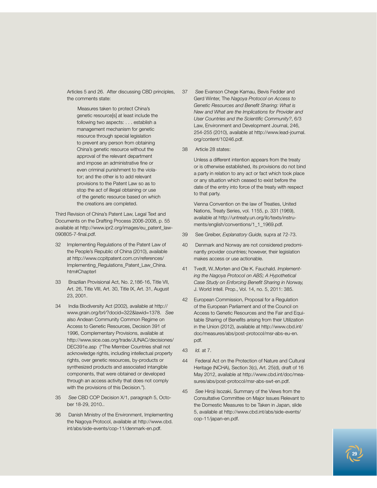Articles 5 and 26. After discussing CBD principles, the comments state:

Measures taken to protect China's genetic resource[s] at least include the following two aspects: . . . establish a management mechanism for genetic resource through special legislation to prevent any person from obtaining China's genetic resource without the approval of the relevant department and impose an administrative fine or even criminal punishment to the violator; and the other is to add relevant provisions to the Patent Law so as to stop the act of illegal obtaining or use of the genetic resource based on which the creations are completed.

Third Revision of China's Patent Law, Legal Text and Documents on the Drafting Process 2006-2008, p. 55 available at http://www.ipr2.org/images/eu\_patent\_law-090805-7-final.pdf.

- 32 Implementing Regulations of the Patent Law of the People's Republic of China (2010), available at http://www.ccpitpatent.com.cn/references/ Implementing\_Regulations\_Patent\_Law\_China. htm#ChapterI
- 33 Brazilian Provisional Act, No. 2,186-16, Title VII, Art. 26, Title VIII, Art. 30, Title IX, Art. 31, August 23, 2001.
- 34 India Biodiversity Act (2002), available at http:// www.grain.org/brl/?docid=322&lawid=1378. *See* also Andean Community Common Regime on Access to Genetic Resources, Decision 391 of 1996, Complementary Provisions, available at http://www.sice.oas.org/trade/JUNAC/decisiones/ DEC391e.asp ("The Member Countries shall not acknowledge rights, including intellectual property rights, over genetic resources, by-products or synthesized products and associated intangible components, that were obtained or developed through an access activity that does not comply with the provisions of this Decision.").
- 35 *See* CBD COP Decision X/1, paragraph 5, October 18-29, 2010..
- 36 Danish Ministry of the Environment, Implementing the Nagoya Protocol, available at http://www.cbd. int/abs/side-events/cop-11/denmark-en.pdf.
- 37 *See* Evanson Chege Kamau, Bevis Fedder and Gerd Winter, The *Nagoya Protocol on Access to Genetic Resources and Benefit Sharing: What is New and What are the Implications for Provider and User Countries and the Scientific Community?*, 6/3 Law, Environment and Development Journal, 246, 254-255 (2010), available at http://www.lead-journal. org/content/10246.pdf.
- 38 Article 28 states:

Unless a different intention appears from the treaty or is otherwise established, its provisions do not bind a party in relation to any act or fact which took place or any situation which ceased to exist before the date of the entry into force of the treaty with respect to that party.

Vienna Convention on the law of Treaties, United Nations, Treaty Series, vol. 1155, p. 331 (1969), available at http://untreaty.un.org/ilc/texts/instruments/english/conventions/1\_1\_1969.pdf.

- 39 See Greiber, *Explanatory Guide,* supra at 72-73.
- 40 Denmark and Norway are not considered predominantly provider countries; however, their legislation makes access or use actionable.
- 41 Tvedt, W..Morten and Ole K. Fauchald. *Implementing the Nagoya Protocol on ABS; A Hypothetical Case Study on Enforcing Benefit Sharing in Norway,*  J. World Intell. Prop., Vol. 14, no. 5, 2011: 385.
- 42 European Commission, Proposal for a Regulation of the European Parliament and of the Council on Access to Genetic Resources and the Fair and Equitable Sharing of Benefits arising from their Utilization in the Union (2012), available at http://www.cbd.int/ doc/measures/abs/post-protocol/msr-abs-eu-en. pdf.
- 43 *Id.* at 7.
- 44 Federal Act on the Protection of Nature and Cultural Heritage (NCHA), Section 3(c), Art. 25(d), draft of 16 May 2012, available at http://www.cbd.int/doc/measures/abs/post-protocol/msr-abs-swt-en.pdf.
- 45 *See* Hiroji Isozaki, Summary of the Views from the Consultative Committee on Major Issues Relevant to the Domestic Measures to be Taken in Japan, slide 5, available at http://www.cbd.int/abs/side-events/ cop-11/japan-en.pdf.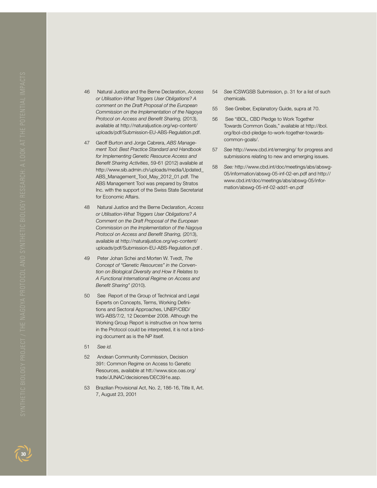- 46 Natural Justice and the Berne Declaration, *Access or Utilisation-What Triggers User Obligations? A comment on the Draft Proposal of the European Commission on the Implementation of the Nagoya Protocol on Access and Benefit Sharing,* (2013), available at http://naturaljustice.org/wp-content/ uploads/pdf/Submission-EU-ABS-Regulation.pdf.
- 47 Geoff Burton and Jorge Cabrera, *ABS Management Tool: Best Practice Standard and Handbook for Implementing Genetic Resource Access and Benefit Sharing Activities*, 59-61 (2012) available at http://www.sib.admin.ch/uploads/media/Updated\_ ABS\_Management\_Tool\_May\_2012\_01.pdf. The ABS Management Tool was prepared by Stratos Inc. with the support of the Swiss State Secretariat for Economic Affairs.
- 48 Natural Justice and the Berne Declaration, *Access or Utilisation-What Triggers User Obligations? A Comment on the Draft Proposal of the European Commission on the Implementation of the Nagoya Protocol on Access and Benefit Sharing,* (2013), available at http://naturaljustice.org/wp-content/ uploads/pdf/Submission-EU-ABS-Regulation.pdf .
- 49 Peter Johan Schei and Morten W. Tvedt, *The Concept of "Genetic Resources" in the Convention on Biological Diversity and How It Relates to A Functional International Regime on Access and Benefit Sharing"* (2010).
- 50 See Report of the Group of Technical and Legal Experts on Concepts, Terms, Working Definitions and Sectoral Approaches, UNEP/CBD/ WG-ABS/7/2, 12 December 2008. Although the Working Group Report is instructive on how terms in the Protocol could be interpreted, it is not a binding document as is the NP itself.
- 51 *See id.*
- 52 Andean Community Commission, Decision 391: Common Regime on Access to Genetic Resources, available at htt://www.sice.oas.org/ trade/JUNAC/decisiones/DEC391e.asp.
- 53 Brazilian Provisional Act, No. 2, 186-16, Title II, Art. 7, August 23, 2001
- 54 *See* ICSWGSB Submission, p. 31 for a list of such chemicals.
- 55 See Greiber, Explanatory Guide, supra at 70.
- 56 See "iBOL, CBD Pledge to Work Together Towards Common Goals," available at http://ibol. org/ibol-cbd-pledge-to-work-together-towardscommon-goals/.
- 57 *See* http://www.cbd.int/emerging/ for progress and submissions relating to new and emerging issues.
- 58 *See:* http://www.cbd.int/doc/meetings/abs/abswg-05/information/abswg-05-inf-02-en.pdf and http:// www.cbd.int/doc/meetings/abs/abswg-05/information/abswg-05-inf-02-add1-en.pdf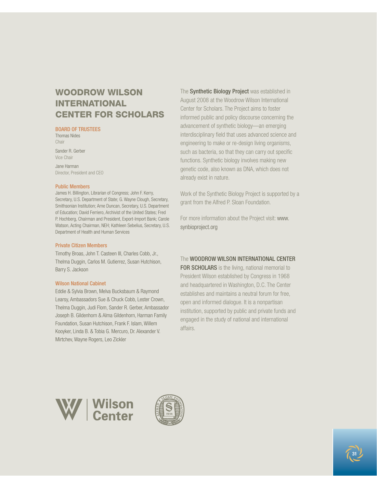### WOODROW WILSON **INTERNATIONAL** CENTER for scholars

### BOARD OF TRUSTEES

Thomas Nides **Chair** 

Sander R. Gerber Vice Chair

Jane Harman Director, President and CEO

### Public Members

James H. Billington, Librarian of Congress; John F. Kerry, Secretary, U.S. Department of State; G. Wayne Clough, Secretary, Smithsonian Institution; Arne Duncan, Secretary, U.S. Department of Education; David Ferriero, Archivist of the United States; Fred P. Hochberg, Chairman and President, Export-Import Bank; Carole Watson, Acting Chairman, NEH; Kathleen Sebelius, Secretary, U.S. Department of Health and Human Services

### Private Citizen Members

Timothy Broas, John T. Casteen III, Charles Cobb, Jr., Thelma Duggin, Carlos M. Gutierrez, Susan Hutchison, Barry S. Jackson

### Wilson National Cabinet

Eddie & Sylvia Brown, Melva Bucksbaum & Raymond Learsy, Ambassadors Sue & Chuck Cobb, Lester Crown, Thelma Duggin, Judi Flom, Sander R. Gerber, Ambassador Joseph B. Gildenhorn & Alma Gildenhorn, Harman Family Foundation, Susan Hutchison, Frank F. Islam, Willem Kooyker, Linda B. & Tobia G. Mercuro, Dr. Alexander V. Mirtchev, Wayne Rogers, Leo Zickler

The Synthetic Biology Project was established in August 2008 at the Woodrow Wilson International Center for Scholars. The Project aims to foster informed public and policy discourse concerning the advancement of synthetic biology—an emerging interdisciplinary field that uses advanced science and engineering to make or re-design living organisms, such as bacteria, so that they can carry out specific functions. Synthetic biology involves making new genetic code, also known as DNA, which does not already exist in nature.

Work of the Synthetic Biology Project is supported by a grant from the Alfred P. Sloan Foundation.

For more information about the Project visit: www. synbioproject.org

### The WOODROW WILSON INTERNATIONAL CENTER

FOR SCHOLARS is the living, national memorial to President Wilson established by Congress in 1968 and headquartered in Washington, D.C. The Center establishes and maintains a neutral forum for free, open and informed dialogue. It is a nonpartisan institution, supported by public and private funds and engaged in the study of national and international affairs.